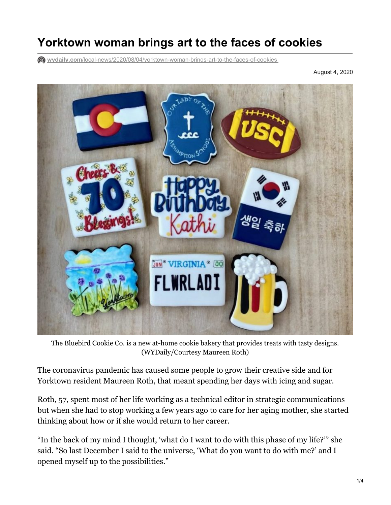## **Yorktown woman brings art to the faces of cookies**

**wydaily.com**[/local-news/2020/08/04/yorktown-woman-brings-art-to-the-faces-of-cookies](https://wydaily.com/local-news/2020/08/04/yorktown-woman-brings-art-to-the-faces-of-cookies/)

August 4, 2020



 The Bluebird Cookie Co. is a new at-home cookie bakery that provides treats with tasty designs. (WYDaily/Courtesy Maureen Roth)

 The coronavirus pandemic has caused some people to grow their creative side and for Yorktown resident Maureen Roth, that meant spending her days with icing and sugar.

 Roth, 57, spent most of her life working as a technical editor in strategic communications but when she had to stop working a few years ago to care for her aging mother, she started thinking about how or if she would return to her career.

 "In the back of my mind I thought, 'what do I want to do with this phase of my life?'" she said. "So last December I said to the universe, 'What do you want to do with me?' and I opened myself up to the possibilities."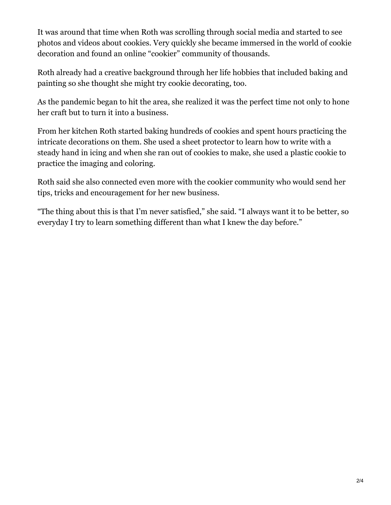It was around that time when Roth was scrolling through social media and started to see photos and videos about cookies. Very quickly she became immersed in the world of cookie decoration and found an online "cookier" community of thousands.

 Roth already had a creative background through her life hobbies that included baking and painting so she thought she might try cookie decorating, too.

 As the pandemic began to hit the area, she realized it was the perfect time not only to hone her craft but to turn it into a business.

 From her kitchen Roth started baking hundreds of cookies and spent hours practicing the intricate decorations on them. She used a sheet protector to learn how to write with a steady hand in icing and when she ran out of cookies to make, she used a plastic cookie to practice the imaging and coloring.

 Roth said she also connected even more with the cookier community who would send her tips, tricks and encouragement for her new business.

 "The thing about this is that I'm never satisfied," she said. "I always want it to be better, so everyday I try to learn something different than what I knew the day before."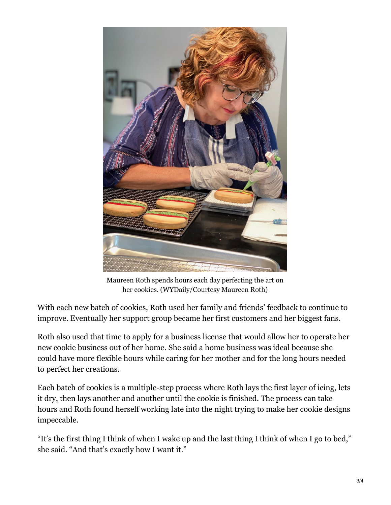

 Maureen Roth spends hours each day perfecting the art on her cookies. (WYDaily/Courtesy Maureen Roth)

 With each new batch of cookies, Roth used her family and friends' feedback to continue to improve. Eventually her support group became her first customers and her biggest fans.

 Roth also used that time to apply for a business license that would allow her to operate her new cookie business out of her home. She said a home business was ideal because she could have more flexible hours while caring for her mother and for the long hours needed to perfect her creations.

 Each batch of cookies is a multiple-step process where Roth lays the first layer of icing, lets it dry, then lays another and another until the cookie is finished. The process can take hours and Roth found herself working late into the night trying to make her cookie designs impeccable.

 "It's the first thing I think of when I wake up and the last thing I think of when I go to bed," she said. "And that's exactly how I want it."